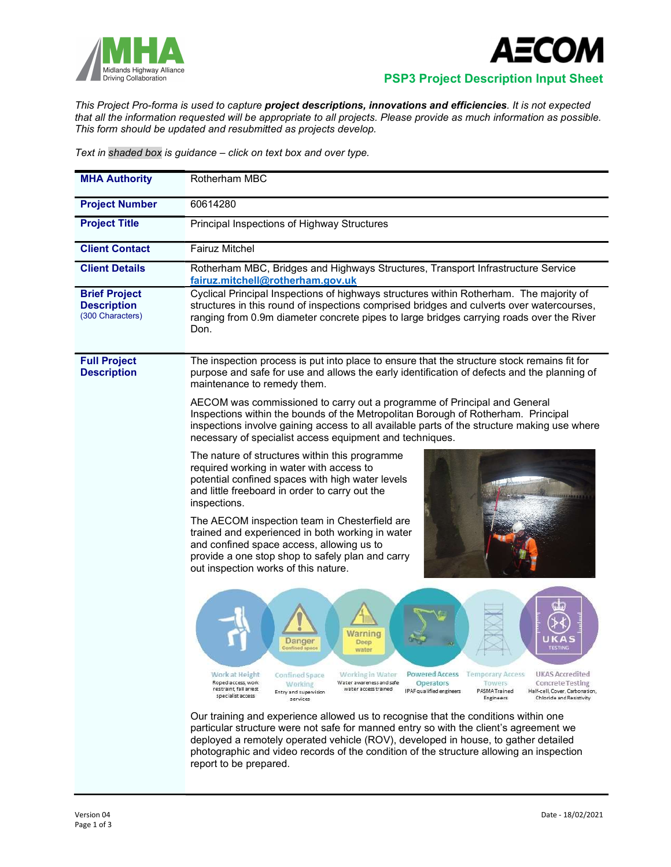



## Midlands Highway Alliance<br>Driving Collaboration **PSP3 Project Description Input Sheet**

This Project Pro-forma is used to capture project descriptions, innovations and efficiencies. It is not expected that all the information requested will be appropriate to all projects. Please provide as much information as possible. This form should be updated and resubmitted as projects develop.

Text in shaded box is guidance – click on text box and over type.

| <b>MHA Authority</b>                                           | Rotherham MBC                                                                                                                                                                                                                                                                                                                                                                                                                                                               |
|----------------------------------------------------------------|-----------------------------------------------------------------------------------------------------------------------------------------------------------------------------------------------------------------------------------------------------------------------------------------------------------------------------------------------------------------------------------------------------------------------------------------------------------------------------|
| <b>Project Number</b>                                          | 60614280                                                                                                                                                                                                                                                                                                                                                                                                                                                                    |
| <b>Project Title</b>                                           | Principal Inspections of Highway Structures                                                                                                                                                                                                                                                                                                                                                                                                                                 |
| <b>Client Contact</b>                                          | <b>Fairuz Mitchel</b>                                                                                                                                                                                                                                                                                                                                                                                                                                                       |
| <b>Client Details</b>                                          | Rotherham MBC, Bridges and Highways Structures, Transport Infrastructure Service<br>fairuz.mitchell@rotherham.gov.uk                                                                                                                                                                                                                                                                                                                                                        |
| <b>Brief Project</b><br><b>Description</b><br>(300 Characters) | Cyclical Principal Inspections of highways structures within Rotherham. The majority of<br>structures in this round of inspections comprised bridges and culverts over watercourses,<br>ranging from 0.9m diameter concrete pipes to large bridges carrying roads over the River<br>Don.                                                                                                                                                                                    |
| <b>Full Project</b><br><b>Description</b>                      | The inspection process is put into place to ensure that the structure stock remains fit for<br>purpose and safe for use and allows the early identification of defects and the planning of<br>maintenance to remedy them.                                                                                                                                                                                                                                                   |
|                                                                | AECOM was commissioned to carry out a programme of Principal and General<br>Inspections within the bounds of the Metropolitan Borough of Rotherham. Principal<br>inspections involve gaining access to all available parts of the structure making use where<br>necessary of specialist access equipment and techniques.                                                                                                                                                    |
|                                                                | The nature of structures within this programme<br>required working in water with access to<br>potential confined spaces with high water levels<br>and little freeboard in order to carry out the<br>inspections.                                                                                                                                                                                                                                                            |
|                                                                | The AECOM inspection team in Chesterfield are<br>trained and experienced in both working in water<br>and confined space access, allowing us to<br>provide a one stop shop to safely plan and carry<br>out inspection works of this nature.                                                                                                                                                                                                                                  |
|                                                                | Narnınq<br>Deep<br><b>TESTINO</b><br>water                                                                                                                                                                                                                                                                                                                                                                                                                                  |
|                                                                | Powered Access Temporary Access<br>UKAS Accredited<br>Work at Height<br>Confined Space<br>Working in Water<br>Roped access, work<br>Water awareness and safe<br><b>Operators</b><br>Towers<br><b>Concrete Testing</b><br><b>Working</b><br>restraint, fall arrest<br>water access trained<br>IPAF qualified engineers<br>PASMA Trained<br>Half-cell, Cover, Carbonation,<br>Entry and supervision<br>specialist access<br>Engineers<br>Chloride and Resistivity<br>services |
|                                                                | Our training and experience allowed us to recognise that the conditions within one<br>particular structure were not safe for manned entry so with the client's agreement we<br>deployed a remotely operated vehicle (ROV), developed in house, to gather detailed<br>photographic and video records of the condition of the structure allowing an inspection<br>report to be prepared.                                                                                      |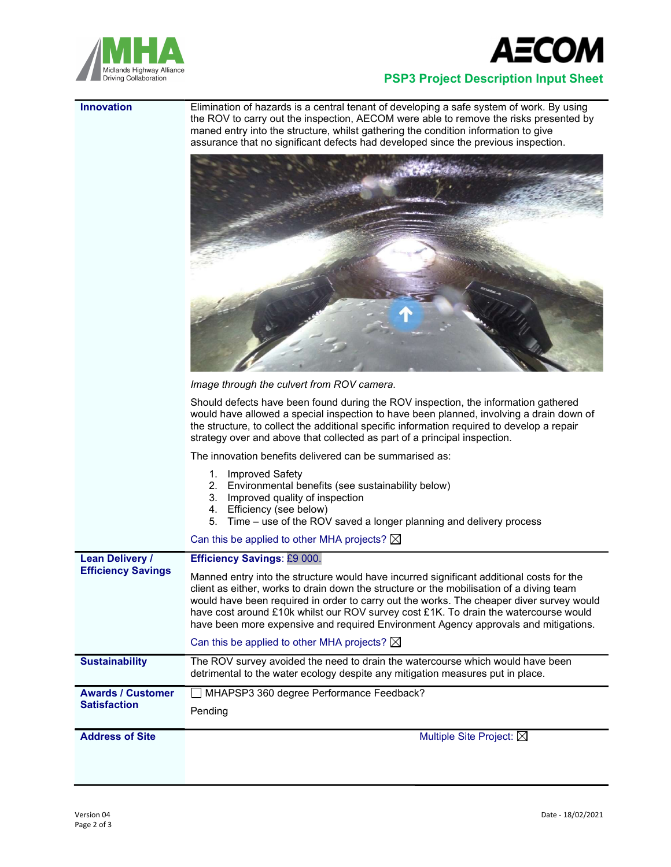



## PSP3 Project Description Input Sheet

**Innovation** Elimination of hazards is a central tenant of developing a safe system of work. By using the ROV to carry out the inspection, AECOM were able to remove the risks presented by maned entry into the structure, whilst gathering the condition information to give assurance that no significant defects had developed since the previous inspection.



Image through the culvert from ROV camera.

Should defects have been found during the ROV inspection, the information gathered would have allowed a special inspection to have been planned, involving a drain down of the structure, to collect the additional specific information required to develop a repair strategy over and above that collected as part of a principal inspection.

The innovation benefits delivered can be summarised as:

|                           | <b>Improved Safety</b><br>Environmental benefits (see sustainability below)<br>2.<br>3.<br>Improved quality of inspection<br>Efficiency (see below)<br>4.<br>5.<br>Time – use of the ROV saved a longer planning and delivery process<br>Can this be applied to other MHA projects? $\boxtimes$                                                                                                                                                                                                                           |
|---------------------------|---------------------------------------------------------------------------------------------------------------------------------------------------------------------------------------------------------------------------------------------------------------------------------------------------------------------------------------------------------------------------------------------------------------------------------------------------------------------------------------------------------------------------|
| <b>Lean Delivery /</b>    | <b>Efficiency Savings: £9 000.</b>                                                                                                                                                                                                                                                                                                                                                                                                                                                                                        |
| <b>Efficiency Savings</b> | Manned entry into the structure would have incurred significant additional costs for the<br>client as either, works to drain down the structure or the mobilisation of a diving team<br>would have been required in order to carry out the works. The cheaper diver survey would<br>have cost around £10k whilst our ROV survey cost £1K. To drain the watercourse would<br>have been more expensive and required Environment Agency approvals and mitigations.<br>Can this be applied to other MHA projects? $\boxtimes$ |
| <b>Sustainability</b>     | The ROV survey avoided the need to drain the watercourse which would have been<br>detrimental to the water ecology despite any mitigation measures put in place.                                                                                                                                                                                                                                                                                                                                                          |
| <b>Awards / Customer</b>  | MHAPSP3 360 degree Performance Feedback?                                                                                                                                                                                                                                                                                                                                                                                                                                                                                  |
| <b>Satisfaction</b>       | Pending                                                                                                                                                                                                                                                                                                                                                                                                                                                                                                                   |
| <b>Address of Site</b>    | Multiple Site Project: $\boxtimes$                                                                                                                                                                                                                                                                                                                                                                                                                                                                                        |
|                           |                                                                                                                                                                                                                                                                                                                                                                                                                                                                                                                           |